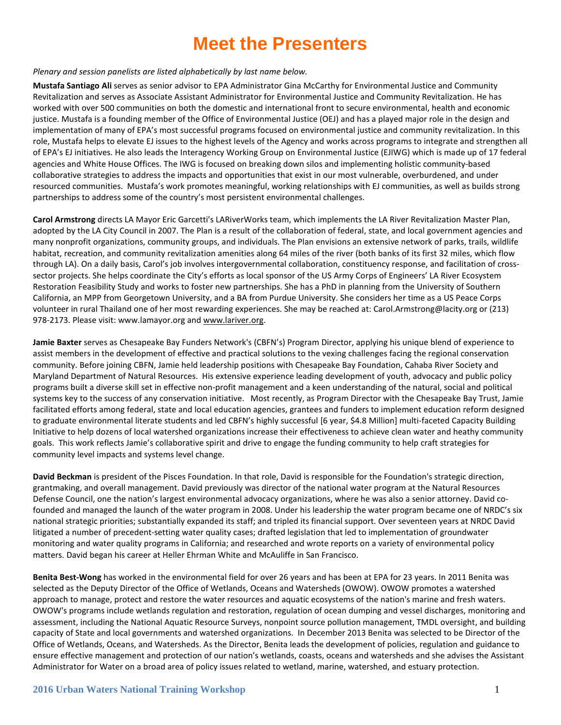#### *Plenary and session panelists are listed alphabetically by last name below.*

**Mustafa Santiago Ali** serves as senior advisor to EPA Administrator Gina McCarthy for Environmental Justice and Community Revitalization and serves as Associate Assistant Administrator for Environmental Justice and Community Revitalization. He has worked with over 500 communities on both the domestic and international front to secure environmental, health and economic justice. Mustafa is a founding member of the Office of Environmental Justice (OEJ) and has a played major role in the design and implementation of many of EPA's most successful programs focused on environmental justice and community revitalization. In this role, Mustafa helps to elevate EJ issues to the highest levels of the Agency and works across programs to integrate and strengthen all of EPA's EJ initiatives. He also leads the Interagency Working Group on Environmental Justice (EJIWG) which is made up of 17 federal agencies and White House Offices. The IWG is focused on breaking down silos and implementing holistic community-based collaborative strategies to address the impacts and opportunities that exist in our most vulnerable, overburdened, and under resourced communities. Mustafa's work promotes meaningful, working relationships with EJ communities, as well as builds strong partnerships to address some of the country's most persistent environmental challenges.

**Carol Armstrong** directs LA Mayor Eric Garcetti's LARiverWorks team, which implements the LA River Revitalization Master Plan, adopted by the LA City Council in 2007. The Plan is a result of the collaboration of federal, state, and local government agencies and many nonprofit organizations, community groups, and individuals. The Plan envisions an extensive network of parks, trails, wildlife habitat, recreation, and community revitalization amenities along 64 miles of the river (both banks of its first 32 miles, which flow through LA). On a daily basis, Carol's job involves intergovernmental collaboration, constituency response, and facilitation of crosssector projects. She helps coordinate the City's efforts as local sponsor of the US Army Corps of Engineers' LA River Ecosystem Restoration Feasibility Study and works to foster new partnerships. She has a PhD in planning from the University of Southern California, an MPP from Georgetown University, and a BA from Purdue University. She considers her time as a US Peace Corps volunteer in rural Thailand one of her most rewarding experiences. She may be reached at: Carol.Armstrong@lacity.org or (213) 978-2173. Please visit: www.lamayor.org and [www.lariver.org.](http://www.lariver.org/)

**Jamie Baxter** serves as Chesapeake Bay Funders Network's (CBFN's) Program Director, applying his unique blend of experience to assist members in the development of effective and practical solutions to the vexing challenges facing the regional conservation community. Before joining CBFN, Jamie held leadership positions with Chesapeake Bay Foundation, Cahaba River Society and Maryland Department of Natural Resources. His extensive experience leading development of youth, advocacy and public policy programs built a diverse skill set in effective non-profit management and a keen understanding of the natural, social and political systems key to the success of any conservation initiative. Most recently, as Program Director with the Chesapeake Bay Trust, Jamie facilitated efforts among federal, state and local education agencies, grantees and funders to implement education reform designed to graduate environmental literate students and led CBFN's highly successful [6 year, \$4.8 Million] multi-faceted Capacity Building Initiative to help dozens of local watershed organizations increase their effectiveness to achieve clean water and heathy community goals. This work reflects Jamie's collaborative spirit and drive to engage the funding community to help craft strategies for community level impacts and systems level change.

**David Beckman** is president of the Pisces Foundation. In that role, David is responsible for the Foundation's strategic direction, grantmaking, and overall management. David previously was director of the national water program at the Natural Resources Defense Council, one the nation's largest environmental advocacy organizations, where he was also a senior attorney. David cofounded and managed the launch of the water program in 2008. Under his leadership the water program became one of NRDC's six national strategic priorities; substantially expanded its staff; and tripled its financial support. Over seventeen years at NRDC David litigated a number of precedent-setting water quality cases; drafted legislation that led to implementation of groundwater monitoring and water quality programs in California; and researched and wrote reports on a variety of environmental policy matters. David began his career at Heller Ehrman White and McAuliffe in San Francisco.

**Benita Best-Wong** has worked in the environmental field for over 26 years and has been at EPA for 23 years. In 2011 Benita was selected as the Deputy Director of the Office of Wetlands, Oceans and Watersheds (OWOW). OWOW promotes a watershed approach to manage, protect and restore the water resources and aquatic ecosystems of the nation's marine and fresh waters. OWOW's programs include wetlands regulation and restoration, regulation of ocean dumping and vessel discharges, monitoring and assessment, including the National Aquatic Resource Surveys, nonpoint source pollution management, TMDL oversight, and building capacity of State and local governments and watershed organizations. In December 2013 Benita was selected to be Director of the Office of Wetlands, Oceans, and Watersheds. As the Director, Benita leads the development of policies, regulation and guidance to ensure effective management and protection of our nation's wetlands, coasts, oceans and watersheds and she advises the Assistant Administrator for Water on a broad area of policy issues related to wetland, marine, watershed, and estuary protection.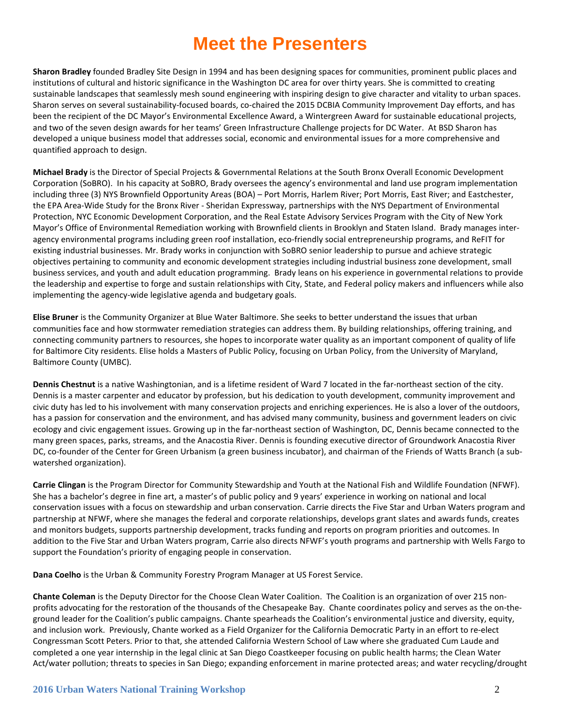**Sharon Bradley** founded Bradley Site Design in 1994 and has been designing spaces for communities, prominent public places and institutions of cultural and historic significance in the Washington DC area for over thirty years. She is committed to creating sustainable landscapes that seamlessly mesh sound engineering with inspiring design to give character and vitality to urban spaces. Sharon serves on several sustainability-focused boards, co-chaired the 2015 DCBIA Community Improvement Day efforts, and has been the recipient of the DC Mayor's Environmental Excellence Award, a Wintergreen Award for sustainable educational projects, and two of the seven design awards for her teams' Green Infrastructure Challenge projects for DC Water. At BSD Sharon has developed a unique business model that addresses social, economic and environmental issues for a more comprehensive and quantified approach to design.

**Michael Brady** is the Director of Special Projects & Governmental Relations at the South Bronx Overall Economic Development Corporation (SoBRO). In his capacity at SoBRO, Brady oversees the agency's environmental and land use program implementation including three (3) NYS Brownfield Opportunity Areas (BOA) – Port Morris, Harlem River; Port Morris, East River; and Eastchester, the EPA Area-Wide Study for the Bronx River - Sheridan Expressway, partnerships with the NYS Department of Environmental Protection, NYC Economic Development Corporation, and the Real Estate Advisory Services Program with the City of New York Mayor's Office of Environmental Remediation working with Brownfield clients in Brooklyn and Staten Island. Brady manages interagency environmental programs including green roof installation, eco-friendly social entrepreneurship programs, and ReFIT for existing industrial businesses. Mr. Brady works in conjunction with SoBRO senior leadership to pursue and achieve strategic objectives pertaining to community and economic development strategies including industrial business zone development, small business services, and youth and adult education programming. Brady leans on his experience in governmental relations to provide the leadership and expertise to forge and sustain relationships with City, State, and Federal policy makers and influencers while also implementing the agency-wide legislative agenda and budgetary goals.

**Elise Bruner** is the Community Organizer at Blue Water Baltimore. She seeks to better understand the issues that urban communities face and how stormwater remediation strategies can address them. By building relationships, offering training, and connecting community partners to resources, she hopes to incorporate water quality as an important component of quality of life for Baltimore City residents. Elise holds a Masters of Public Policy, focusing on Urban Policy, from the University of Maryland, Baltimore County (UMBC).

**Dennis Chestnut** is a native Washingtonian, and is a lifetime resident of Ward 7 located in the far-northeast section of the city. Dennis is a master carpenter and educator by profession, but his dedication to youth development, community improvement and civic duty has led to his involvement with many conservation projects and enriching experiences. He is also a lover of the outdoors, has a passion for conservation and the environment, and has advised many community, business and government leaders on civic ecology and civic engagement issues. Growing up in the far-northeast section of Washington, DC, Dennis became connected to the many green spaces, parks, streams, and the Anacostia River. Dennis is founding executive director of Groundwork Anacostia River DC, co-founder of the Center for Green Urbanism (a green business incubator), and chairman of the Friends of Watts Branch (a subwatershed organization).

**Carrie Clingan** is the Program Director for Community Stewardship and Youth at the National Fish and Wildlife Foundation (NFWF). She has a bachelor's degree in fine art, a master's of public policy and 9 years' experience in working on national and local conservation issues with a focus on stewardship and urban conservation. Carrie directs the Five Star and Urban Waters program and partnership at NFWF, where she manages the federal and corporate relationships, develops grant slates and awards funds, creates and monitors budgets, supports partnership development, tracks funding and reports on program priorities and outcomes. In addition to the Five Star and Urban Waters program, Carrie also directs NFWF's youth programs and partnership with Wells Fargo to support the Foundation's priority of engaging people in conservation.

**Dana Coelho** is the Urban & Community Forestry Program Manager at US Forest Service.

**Chante Coleman** is the Deputy Director for the Choose Clean Water Coalition. The Coalition is an organization of over 215 nonprofits advocating for the restoration of the thousands of the Chesapeake Bay. Chante coordinates policy and serves as the on-theground leader for the Coalition's public campaigns. Chante spearheads the Coalition's environmental justice and diversity, equity, and inclusion work. Previously, Chante worked as a Field Organizer for the California Democratic Party in an effort to re-elect Congressman Scott Peters. Prior to that, she attended California Western School of Law where she graduated Cum Laude and completed a one year internship in the legal clinic at San Diego Coastkeeper focusing on public health harms; the Clean Water Act/water pollution; threats to species in San Diego; expanding enforcement in marine protected areas; and water recycling/drought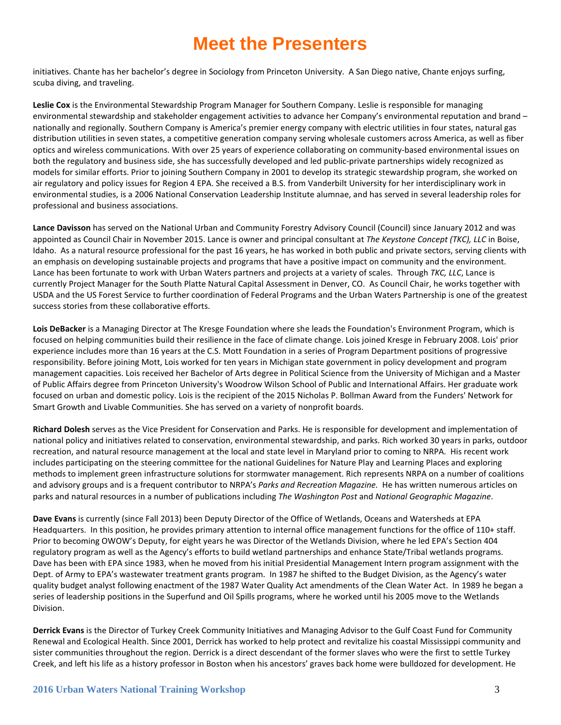initiatives. Chante has her bachelor's degree in Sociology from Princeton University. A San Diego native, Chante enjoys surfing, scuba diving, and traveling.

**Leslie Cox** is the Environmental Stewardship Program Manager for Southern Company. Leslie is responsible for managing environmental stewardship and stakeholder engagement activities to advance her Company's environmental reputation and brand – nationally and regionally. Southern Company is America's premier energy company with electric utilities in four states, natural gas distribution utilities in seven states, a competitive generation company serving wholesale customers across America, as well as fiber optics and wireless communications. With over 25 years of experience collaborating on community-based environmental issues on both the regulatory and business side, she has successfully developed and led public-private partnerships widely recognized as models for similar efforts. Prior to joining Southern Company in 2001 to develop its strategic stewardship program, she worked on air regulatory and policy issues for Region 4 EPA. She received a B.S. from Vanderbilt University for her interdisciplinary work in environmental studies, is a 2006 National Conservation Leadership Institute alumnae, and has served in several leadership roles for professional and business associations.

**Lance Davisson** has served on the National Urban and Community Forestry Advisory Council (Council) since January 2012 and was appointed as Council Chair in November 2015. Lance is owner and principal consultant at *The Keystone Concept (TKC), LLC* in Boise, Idaho. As a natural resource professional for the past 16 years, he has worked in both public and private sectors, serving clients with an emphasis on developing sustainable projects and programs that have a positive impact on community and the environment. Lance has been fortunate to work with Urban Waters partners and projects at a variety of scales. Through *TKC, LLC*, Lance is currently Project Manager for the South Platte Natural Capital Assessment in Denver, CO. As Council Chair, he works together with USDA and the US Forest Service to further coordination of Federal Programs and the Urban Waters Partnership is one of the greatest success stories from these collaborative efforts.

**Lois DeBacker** is a Managing Director at The Kresge Foundation where she leads the Foundation's Environment Program, which is focused on helping communities build their resilience in the face of climate change. Lois joined Kresge in February 2008. Lois' prior experience includes more than 16 years at the C.S. Mott Foundation in a series of Program Department positions of progressive responsibility. Before joining Mott, Lois worked for ten years in Michigan state government in policy development and program management capacities. Lois received her Bachelor of Arts degree in Political Science from the University of Michigan and a Master of Public Affairs degree from Princeton University's Woodrow Wilson School of Public and International Affairs. Her graduate work focused on urban and domestic policy. Lois is the recipient of the 2015 Nicholas P. Bollman Award from the Funders' Network for Smart Growth and Livable Communities. She has served on a variety of nonprofit boards.

**Richard Dolesh** serves as the Vice President for Conservation and Parks. He is responsible for development and implementation of national policy and initiatives related to conservation, environmental stewardship, and parks. Rich worked 30 years in parks, outdoor recreation, and natural resource management at the local and state level in Maryland prior to coming to NRPA. His recent work includes participating on the steering committee for the national Guidelines for Nature Play and Learning Places and exploring methods to implement green infrastructure solutions for stormwater management. Rich represents NRPA on a number of coalitions and advisory groups and is a frequent contributor to NRPA's *Parks and Recreation Magazine.* He has written numerous articles on parks and natural resources in a number of publications including *The Washington Post* and *National Geographic Magazine*.

**Dave Evans** is currently (since Fall 2013) been Deputy Director of the Office of Wetlands, Oceans and Watersheds at EPA Headquarters. In this position, he provides primary attention to internal office management functions for the office of 110+ staff. Prior to becoming OWOW's Deputy, for eight years he was Director of the Wetlands Division, where he led EPA's Section 404 regulatory program as well as the Agency's efforts to build wetland partnerships and enhance State/Tribal wetlands programs. Dave has been with EPA since 1983, when he moved from his initial Presidential Management Intern program assignment with the Dept. of Army to EPA's wastewater treatment grants program. In 1987 he shifted to the Budget Division, as the Agency's water quality budget analyst following enactment of the 1987 Water Quality Act amendments of the Clean Water Act. In 1989 he began a series of leadership positions in the Superfund and Oil Spills programs, where he worked until his 2005 move to the Wetlands Division.

**Derrick Evans** is the Director of Turkey Creek Community Initiatives and Managing Advisor to the Gulf Coast Fund for Community Renewal and Ecological Health. Since 2001, Derrick has worked to help protect and revitalize his coastal Mississippi community and sister communities throughout the region. Derrick is a direct descendant of the former slaves who were the first to settle Turkey Creek, and left his life as a history professor in Boston when his ancestors' graves back home were bulldozed for development. He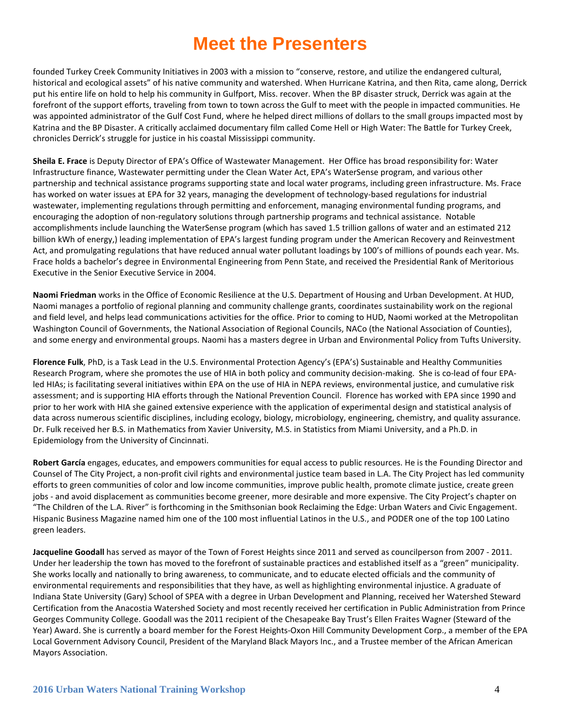founded Turkey Creek Community Initiatives in 2003 with a mission to "conserve, restore, and utilize the endangered cultural, historical and ecological assets" of his native community and watershed. When Hurricane Katrina, and then Rita, came along, Derrick put his entire life on hold to help his community in Gulfport, Miss. recover. When the BP disaster struck, Derrick was again at the forefront of the support efforts, traveling from town to town across the Gulf to meet with the people in impacted communities. He was appointed administrator of the Gulf Cost Fund, where he helped direct millions of dollars to the small groups impacted most by Katrina and the BP Disaster. A critically acclaimed documentary film called Come Hell or High Water: The Battle for Turkey Creek, chronicles Derrick's struggle for justice in his coastal Mississippi community.

**Sheila E. Frace** is Deputy Director of EPA's Office of Wastewater Management. Her Office has broad responsibility for: Water Infrastructure finance, Wastewater permitting under the Clean Water Act, EPA's WaterSense program, and various other partnership and technical assistance programs supporting state and local water programs, including green infrastructure. Ms. Frace has worked on water issues at EPA for 32 years, managing the development of technology-based regulations for industrial wastewater, implementing regulations through permitting and enforcement, managing environmental funding programs, and encouraging the adoption of non-regulatory solutions through partnership programs and technical assistance. Notable accomplishments include launching the WaterSense program (which has saved 1.5 trillion gallons of water and an estimated 212 billion kWh of energy,) leading implementation of EPA's largest funding program under the American Recovery and Reinvestment Act, and promulgating regulations that have reduced annual water pollutant loadings by 100's of millions of pounds each year. Ms. Frace holds a bachelor's degree in Environmental Engineering from Penn State, and received the Presidential Rank of Meritorious Executive in the Senior Executive Service in 2004.

**Naomi Friedman** works in the Office of Economic Resilience at the U.S. Department of Housing and Urban Development. At HUD, Naomi manages a portfolio of regional planning and community challenge grants, coordinates sustainability work on the regional and field level, and helps lead communications activities for the office. Prior to coming to HUD, Naomi worked at the Metropolitan Washington Council of Governments, the National Association of Regional Councils, NACo (the National Association of Counties), and some energy and environmental groups. Naomi has a masters degree in Urban and Environmental Policy from Tufts University.

**Florence Fulk**, PhD, is a Task Lead in the U.S. Environmental Protection Agency's (EPA's) Sustainable and Healthy Communities Research Program, where she promotes the use of HIA in both policy and community decision-making. She is co-lead of four EPAled HIAs; is facilitating several initiatives within EPA on the use of HIA in NEPA reviews, environmental justice, and cumulative risk assessment; and is supporting HIA efforts through the National Prevention Council. Florence has worked with EPA since 1990 and prior to her work with HIA she gained extensive experience with the application of experimental design and statistical analysis of data across numerous scientific disciplines, including ecology, biology, microbiology, engineering, chemistry, and quality assurance. Dr. Fulk received her B.S. in Mathematics from Xavier University, M.S. in Statistics from Miami University, and a Ph.D. in Epidemiology from the University of Cincinnati.

**Robert García** engages, educates, and empowers communities for equal access to public resources. He is the Founding Director and Counsel of The City Project, a non-profit civil rights and environmental justice team based in L.A. The City Project has led community efforts to green communities of color and low income communities, improve public health, promote climate justice, create green jobs - and avoid displacement as communities become greener, more desirable and more expensive. The City Project's chapter on "The Children of the L.A. River" is forthcoming in the Smithsonian book Reclaiming the Edge: Urban Waters and Civic Engagement. Hispanic Business Magazine named him one of the 100 most influential Latinos in the U.S., and PODER one of the top 100 Latino green leaders.

**Jacqueline Goodall** has served as mayor of the Town of Forest Heights since 2011 and served as councilperson from 2007 - 2011. Under her leadership the town has moved to the forefront of sustainable practices and established itself as a "green" municipality. She works locally and nationally to bring awareness, to communicate, and to educate elected officials and the community of environmental requirements and responsibilities that they have, as well as highlighting environmental injustice. A graduate of Indiana State University (Gary) School of SPEA with a degree in Urban Development and Planning, received her Watershed Steward Certification from the Anacostia Watershed Society and most recently received her certification in Public Administration from Prince Georges Community College. Goodall was the 2011 recipient of the Chesapeake Bay Trust's Ellen Fraites Wagner (Steward of the Year) Award. She is currently a board member for the Forest Heights-Oxon Hill Community Development Corp., a member of the EPA Local Government Advisory Council, President of the Maryland Black Mayors Inc., and a Trustee member of the African American Mayors Association.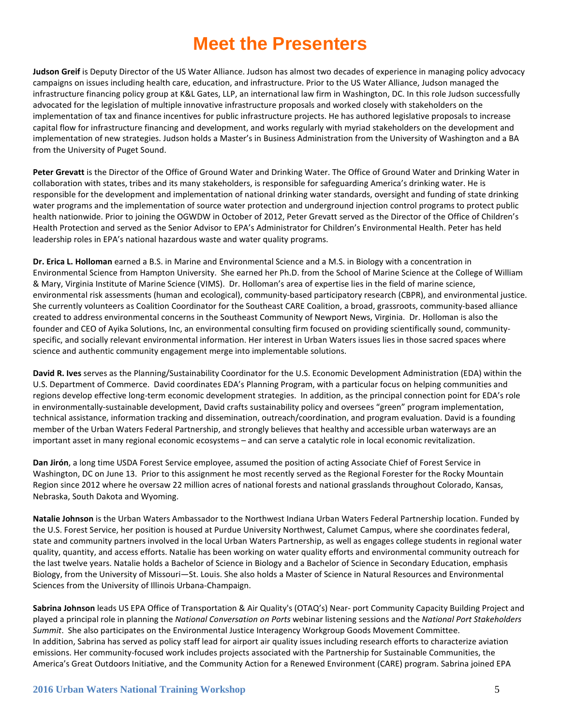**Judson Greif** is Deputy Director of the US Water Alliance. Judson has almost two decades of experience in managing policy advocacy campaigns on issues including health care, education, and infrastructure. Prior to the US Water Alliance, Judson managed the infrastructure financing policy group at K&L Gates, LLP, an international law firm in Washington, DC. In this role Judson successfully advocated for the legislation of multiple innovative infrastructure proposals and worked closely with stakeholders on the implementation of tax and finance incentives for public infrastructure projects. He has authored legislative proposals to increase capital flow for infrastructure financing and development, and works regularly with myriad stakeholders on the development and implementation of new strategies. Judson holds a Master's in Business Administration from the University of Washington and a BA from the University of Puget Sound.

**Peter Grevatt** is the Director of the Office of Ground Water and Drinking Water. The Office of Ground Water and Drinking Water in collaboration with states, tribes and its many stakeholders, is responsible for safeguarding America's drinking water. He is responsible for the development and implementation of national drinking water standards, oversight and funding of state drinking water programs and the implementation of source water protection and underground injection control programs to protect public health nationwide. Prior to joining the OGWDW in October of 2012, Peter Grevatt served as the Director of the Office of Children's Health Protection and served as the Senior Advisor to EPA's Administrator for Children's Environmental Health. Peter has held leadership roles in EPA's national hazardous waste and water quality programs.

**Dr. Erica L. Holloman** earned a B.S. in Marine and Environmental Science and a M.S. in Biology with a concentration in Environmental Science from Hampton University. She earned her Ph.D. from the School of Marine Science at the College of William & Mary, Virginia Institute of Marine Science (VIMS). Dr. Holloman's area of expertise lies in the field of marine science, environmental risk assessments (human and ecological), community-based participatory research (CBPR), and environmental justice. She currently volunteers as Coalition Coordinator for the Southeast CARE Coalition, a broad, grassroots, community-based alliance created to address environmental concerns in the Southeast Community of Newport News, Virginia. Dr. Holloman is also the founder and CEO of Ayika Solutions, Inc, an environmental consulting firm focused on providing scientifically sound, communityspecific, and socially relevant environmental information. Her interest in Urban Waters issues lies in those sacred spaces where science and authentic community engagement merge into implementable solutions.

**David R. Ives** serves as the Planning/Sustainability Coordinator for the U.S. Economic Development Administration (EDA) within the U.S. Department of Commerce. David coordinates EDA's Planning Program, with a particular focus on helping communities and regions develop effective long-term economic development strategies. In addition, as the principal connection point for EDA's role in environmentally-sustainable development, David crafts sustainability policy and oversees "green" program implementation, technical assistance, information tracking and dissemination, outreach/coordination, and program evaluation. David is a founding member of the Urban Waters Federal Partnership, and strongly believes that healthy and accessible urban waterways are an important asset in many regional economic ecosystems – and can serve a catalytic role in local economic revitalization.

**Dan Jirón**, a long time USDA Forest Service employee, assumed the position of acting Associate Chief of Forest Service in Washington, DC on June 13. Prior to this assignment he most recently served as the Regional Forester for the Rocky Mountain Region since 2012 where he oversaw 22 million acres of national forests and national grasslands throughout Colorado, Kansas, Nebraska, South Dakota and Wyoming.

**Natalie Johnson** is the Urban Waters Ambassador to the Northwest Indiana Urban Waters Federal Partnership location. Funded by the U.S. Forest Service, her position is housed at Purdue University Northwest, Calumet Campus, where she coordinates federal, state and community partners involved in the local Urban Waters Partnership, as well as engages college students in regional water quality, quantity, and access efforts. Natalie has been working on water quality efforts and environmental community outreach for the last twelve years. Natalie holds a Bachelor of Science in Biology and a Bachelor of Science in Secondary Education, emphasis Biology, from the University of Missouri—St. Louis. She also holds a Master of Science in Natural Resources and Environmental Sciences from the University of Illinois Urbana-Champaign.

**Sabrina Johnson** leads US EPA Office of Transportation & Air Quality's (OTAQ's) Near- port Community Capacity Building Project and played a principal role in planning the *National Conversation on Ports* webinar listening sessions and the *National Port Stakeholders Summit*. She also participates on the Environmental Justice Interagency Workgroup Goods Movement Committee. In addition, Sabrina has served as policy staff lead for airport air quality issues including research efforts to characterize aviation emissions. Her community-focused work includes projects associated with the Partnership for Sustainable Communities, the America's Great Outdoors Initiative, and the Community Action for a Renewed Environment (CARE) program. Sabrina joined EPA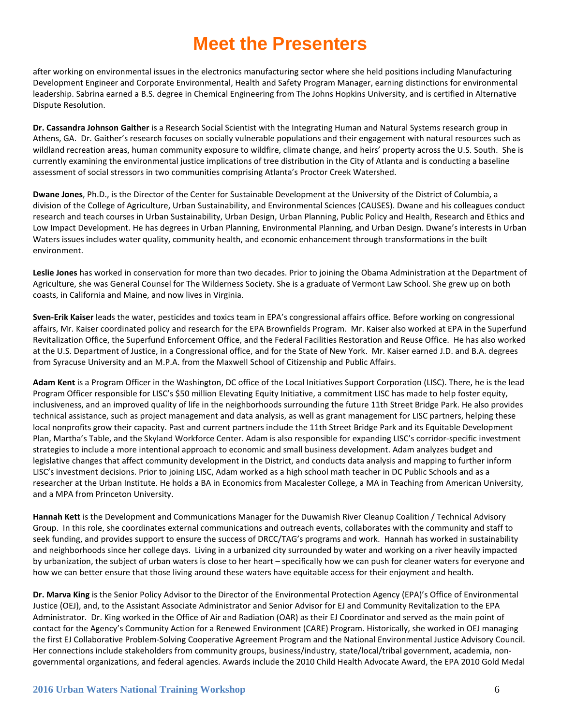after working on environmental issues in the electronics manufacturing sector where she held positions including Manufacturing Development Engineer and Corporate Environmental, Health and Safety Program Manager, earning distinctions for environmental leadership. Sabrina earned a B.S. degree in Chemical Engineering from The Johns Hopkins University, and is certified in Alternative Dispute Resolution.

**Dr. Cassandra Johnson Gaither** is a Research Social Scientist with the Integrating Human and Natural Systems research group in Athens, GA. Dr. Gaither's research focuses on socially vulnerable populations and their engagement with natural resources such as wildland recreation areas, human community exposure to wildfire, climate change, and heirs' property across the U.S. South. She is currently examining the environmental justice implications of tree distribution in the City of Atlanta and is conducting a baseline assessment of social stressors in two communities comprising Atlanta's Proctor Creek Watershed.

**Dwane Jones**, Ph.D., is the Director of the Center for Sustainable Development at the University of the District of Columbia, a division of the College of Agriculture, Urban Sustainability, and Environmental Sciences (CAUSES). Dwane and his colleagues conduct research and teach courses in Urban Sustainability, Urban Design, Urban Planning, Public Policy and Health, Research and Ethics and Low Impact Development. He has degrees in Urban Planning, Environmental Planning, and Urban Design. Dwane's interests in Urban Waters issues includes water quality, community health, and economic enhancement through transformations in the built environment.

**Leslie Jones** has worked in conservation for more than two decades. Prior to joining the Obama Administration at the Department of Agriculture, she was General Counsel for The Wilderness Society. She is a graduate of Vermont Law School. She grew up on both coasts, in California and Maine, and now lives in Virginia.

**Sven-Erik Kaiser** leads the water, pesticides and toxics team in EPA's congressional affairs office. Before working on congressional affairs, Mr. Kaiser coordinated policy and research for the EPA Brownfields Program. Mr. Kaiser also worked at EPA in the Superfund Revitalization Office, the Superfund Enforcement Office, and the Federal Facilities Restoration and Reuse Office. He has also worked at the U.S. Department of Justice, in a Congressional office, and for the State of New York. Mr. Kaiser earned J.D. and B.A. degrees from Syracuse University and an M.P.A. from the Maxwell School of Citizenship and Public Affairs.

**Adam Kent** is a Program Officer in the Washington, DC office of the Local Initiatives Support Corporation (LISC). There, he is the lead Program Officer responsible for LISC's \$50 million Elevating Equity Initiative, a commitment LISC has made to help foster equity, inclusiveness, and an improved quality of life in the neighborhoods surrounding the future 11th Street Bridge Park. He also provides technical assistance, such as project management and data analysis, as well as grant management for LISC partners, helping these local nonprofits grow their capacity. Past and current partners include the 11th Street Bridge Park and its Equitable Development Plan, Martha's Table, and the Skyland Workforce Center. Adam is also responsible for expanding LISC's corridor-specific investment strategies to include a more intentional approach to economic and small business development. Adam analyzes budget and legislative changes that affect community development in the District, and conducts data analysis and mapping to further inform LISC's investment decisions. Prior to joining LISC, Adam worked as a high school math teacher in DC Public Schools and as a researcher at the Urban Institute. He holds a BA in Economics from Macalester College, a MA in Teaching from American University, and a MPA from Princeton University.

**Hannah Kett** is the Development and Communications Manager for the Duwamish River Cleanup Coalition / Technical Advisory Group. In this role, she coordinates external communications and outreach events, collaborates with the community and staff to seek funding, and provides support to ensure the success of DRCC/TAG's programs and work. Hannah has worked in sustainability and neighborhoods since her college days. Living in a urbanized city surrounded by water and working on a river heavily impacted by urbanization, the subject of urban waters is close to her heart – specifically how we can push for cleaner waters for everyone and how we can better ensure that those living around these waters have equitable access for their enjoyment and health.

**Dr. Marva King** is the Senior Policy Advisor to the Director of the Environmental Protection Agency (EPA)'s Office of Environmental Justice (OEJ), and, to the Assistant Associate Administrator and Senior Advisor for EJ and Community Revitalization to the EPA Administrator. Dr. King worked in the Office of Air and Radiation (OAR) as their EJ Coordinator and served as the main point of contact for the Agency's Community Action for a Renewed Environment (CARE) Program. Historically, she worked in OEJ managing the first EJ Collaborative Problem-Solving Cooperative Agreement Program and the National Environmental Justice Advisory Council. Her connections include stakeholders from community groups, business/industry, state/local/tribal government, academia, nongovernmental organizations, and federal agencies. Awards include the 2010 Child Health Advocate Award, the EPA 2010 Gold Medal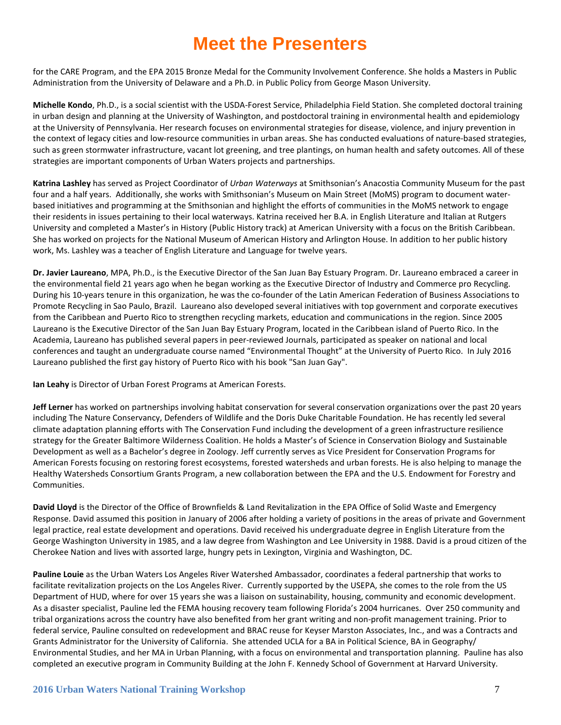for the CARE Program, and the EPA 2015 Bronze Medal for the Community Involvement Conference. She holds a Masters in Public Administration from the University of Delaware and a Ph.D. in Public Policy from George Mason University.

**Michelle Kondo**, Ph.D., is a social scientist with the USDA-Forest Service, Philadelphia Field Station. She completed doctoral training in urban design and planning at the University of Washington, and postdoctoral training in environmental health and epidemiology at the University of Pennsylvania. Her research focuses on environmental strategies for disease, violence, and injury prevention in the context of legacy cities and low-resource communities in urban areas. She has conducted evaluations of nature-based strategies, such as green stormwater infrastructure, vacant lot greening, and tree plantings, on human health and safety outcomes. All of these strategies are important components of Urban Waters projects and partnerships.

**Katrina Lashley** has served as Project Coordinator of *Urban Waterways* at Smithsonian's Anacostia Community Museum for the past four and a half years. Additionally, she works with Smithsonian's Museum on Main Street (MoMS) program to document waterbased initiatives and programming at the Smithsonian and highlight the efforts of communities in the MoMS network to engage their residents in issues pertaining to their local waterways. Katrina received her B.A. in English Literature and Italian at Rutgers University and completed a Master's in History (Public History track) at American University with a focus on the British Caribbean. She has worked on projects for the National Museum of American History and Arlington House. In addition to her public history work, Ms. Lashley was a teacher of English Literature and Language for twelve years.

**Dr. Javier Laureano**, MPA, Ph.D., is the Executive Director of the San Juan Bay Estuary Program. Dr. Laureano embraced a career in the environmental field 21 years ago when he began working as the Executive Director of Industry and Commerce pro Recycling. During his 10-years tenure in this organization, he was the co-founder of the Latin American Federation of Business Associations to Promote Recycling in Sao Paulo, Brazil. Laureano also developed several initiatives with top government and corporate executives from the Caribbean and Puerto Rico to strengthen recycling markets, education and communications in the region. Since 2005 Laureano is the Executive Director of the San Juan Bay Estuary Program, located in the Caribbean island of Puerto Rico. In the Academia, Laureano has published several papers in peer-reviewed Journals, participated as speaker on national and local conferences and taught an undergraduate course named "Environmental Thought" at the University of Puerto Rico. In July 2016 Laureano published the first gay history of Puerto Rico with his book "San Juan Gay".

**Ian Leahy** is Director of Urban Forest Programs at American Forests.

**Jeff Lerner** has worked on partnerships involving habitat conservation for several conservation organizations over the past 20 years including The Nature Conservancy, Defenders of Wildlife and the Doris Duke Charitable Foundation. He has recently led several climate adaptation planning efforts with The Conservation Fund including the development of a green infrastructure resilience strategy for the Greater Baltimore Wilderness Coalition. He holds a Master's of Science in Conservation Biology and Sustainable Development as well as a Bachelor's degree in Zoology. Jeff currently serves as Vice President for Conservation Programs for American Forests focusing on restoring forest ecosystems, forested watersheds and urban forests. He is also helping to manage the Healthy Watersheds Consortium Grants Program, a new collaboration between the EPA and the U.S. Endowment for Forestry and Communities.

**David Lloyd** is the Director of the Office of Brownfields & Land Revitalization in the EPA Office of Solid Waste and Emergency Response. David assumed this position in January of 2006 after holding a variety of positions in the areas of private and Government legal practice, real estate development and operations. David received his undergraduate degree in English Literature from the George Washington University in 1985, and a law degree from Washington and Lee University in 1988. David is a proud citizen of the Cherokee Nation and lives with assorted large, hungry pets in Lexington, Virginia and Washington, DC.

**Pauline Louie** as the Urban Waters Los Angeles River Watershed Ambassador, coordinates a federal partnership that works to facilitate revitalization projects on the Los Angeles River. Currently supported by the USEPA, she comes to the role from the US Department of HUD, where for over 15 years she was a liaison on sustainability, housing, community and economic development. As a disaster specialist, Pauline led the FEMA housing recovery team following Florida's 2004 hurricanes. Over 250 community and tribal organizations across the country have also benefited from her grant writing and non-profit management training. Prior to federal service, Pauline consulted on redevelopment and BRAC reuse for Keyser Marston Associates, Inc., and was a Contracts and Grants Administrator for the University of California. She attended UCLA for a BA in Political Science, BA in Geography/ Environmental Studies, and her MA in Urban Planning, with a focus on environmental and transportation planning. Pauline has also completed an executive program in Community Building at the John F. Kennedy School of Government at Harvard University.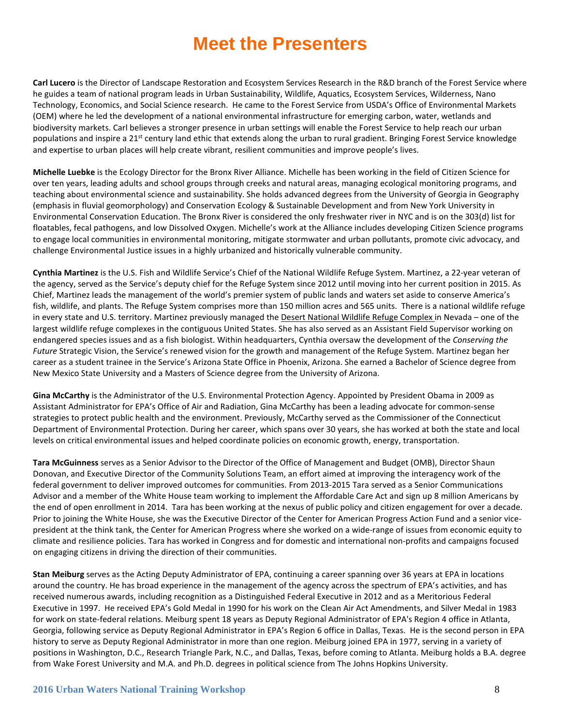**Carl Lucero** is the Director of Landscape Restoration and Ecosystem Services Research in the R&D branch of the Forest Service where he guides a team of national program leads in Urban Sustainability, Wildlife, Aquatics, Ecosystem Services, Wilderness, Nano Technology, Economics, and Social Science research. He came to the Forest Service from USDA's Office of Environmental Markets (OEM) where he led the development of a national environmental infrastructure for emerging carbon, water, wetlands and biodiversity markets. Carl believes a stronger presence in urban settings will enable the Forest Service to help reach our urban populations and inspire a 21<sup>st</sup> century land ethic that extends along the urban to rural gradient. Bringing Forest Service knowledge and expertise to urban places will help create vibrant, resilient communities and improve people's lives.

**Michelle Luebke** is the Ecology Director for the Bronx River Alliance. Michelle has been working in the field of Citizen Science for over ten years, leading adults and school groups through creeks and natural areas, managing ecological monitoring programs, and teaching about environmental science and sustainability. She holds advanced degrees from the University of Georgia in Geography (emphasis in fluvial geomorphology) and Conservation Ecology & Sustainable Development and from New York University in Environmental Conservation Education. The Bronx River is considered the only freshwater river in NYC and is on the 303(d) list for floatables, fecal pathogens, and low Dissolved Oxygen. Michelle's work at the Alliance includes developing Citizen Science programs to engage local communities in environmental monitoring, mitigate stormwater and urban pollutants, promote civic advocacy, and challenge Environmental Justice issues in a highly urbanized and historically vulnerable community.

**Cynthia Martinez** is the U.S. Fish and Wildlife Service's Chief of the National Wildlife Refuge System. Martinez, a 22-year veteran of the agency, served as the Service's deputy chief for the Refuge System since 2012 until moving into her current position in 2015. As Chief, Martinez leads the management of the world's premier system of public lands and waters set aside to conserve America's fish, wildlife, and plants. The Refuge System comprises more than 150 million acres and 565 units. There is a national wildlife refuge in every state and U.S. territory. Martinez previously managed the [Desert National Wildlife Refuge Complex](http://www.fws.gov/refuge/desert/) in Nevada - one of the largest wildlife refuge complexes in the contiguous United States. She has also served as an Assistant Field Supervisor working on endangered species issues and as a fish biologist. Within headquarters, Cynthia oversaw the development of the *Conserving the Future* Strategic Vision, the Service's renewed vision for the growth and management of the Refuge System. Martinez began her career as a student trainee in the Service's Arizona State Office in Phoenix, Arizona. She earned a Bachelor of Science degree from New Mexico State University and a Masters of Science degree from the University of Arizona.

**Gina McCarthy** is the Administrator of the U.S. Environmental Protection Agency. Appointed by President Obama in 2009 as Assistant Administrator for EPA's Office of Air and Radiation, Gina McCarthy has been a leading advocate for common-sense strategies to protect public health and the environment. Previously, McCarthy served as the Commissioner of the Connecticut Department of Environmental Protection. During her career, which spans over 30 years, she has worked at both the state and local levels on critical environmental issues and helped coordinate policies on economic growth, energy, transportation.

**Tara McGuinness** serves as a Senior Advisor to the Director of the Office of Management and Budget (OMB), Director Shaun Donovan, and Executive Director of the Community Solutions Team, an effort aimed at improving the interagency work of the federal government to deliver improved outcomes for communities. From 2013-2015 Tara served as a Senior Communications Advisor and a member of the White House team working to implement the Affordable Care Act and sign up 8 million Americans by the end of open enrollment in 2014. Tara has been working at the nexus of public policy and citizen engagement for over a decade. Prior to joining the White House, she was the Executive Director of the Center for American Progress Action Fund and a senior vicepresident at the think tank, the Center for American Progress where she worked on a wide-range of issues from economic equity to climate and resilience policies. Tara has worked in Congress and for domestic and international non-profits and campaigns focused on engaging citizens in driving the direction of their communities.

**Stan Meiburg** serves as the Acting Deputy Administrator of EPA, continuing a career spanning over 36 years at EPA in locations around the country. He has broad experience in the management of the agency across the spectrum of EPA's activities, and has received numerous awards, including recognition as a Distinguished Federal Executive in 2012 and as a Meritorious Federal Executive in 1997. He received EPA's Gold Medal in 1990 for his work on the Clean Air Act Amendments, and Silver Medal in 1983 for work on state-federal relations. Meiburg spent 18 years as Deputy Regional Administrator of EPA's Region 4 office in Atlanta, Georgia, following service as Deputy Regional Administrator in EPA's Region 6 office in Dallas, Texas. He is the second person in EPA history to serve as Deputy Regional Administrator in more than one region. Meiburg joined EPA in 1977, serving in a variety of positions in Washington, D.C., Research Triangle Park, N.C., and Dallas, Texas, before coming to Atlanta. Meiburg holds a B.A. degree from Wake Forest University and M.A. and Ph.D. degrees in political science from The Johns Hopkins University.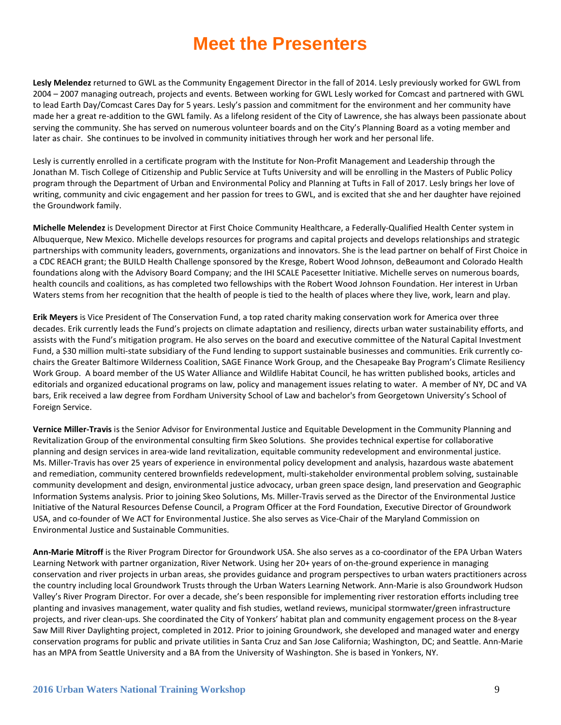**Lesly Melendez** returned to GWL as the Community Engagement Director in the fall of 2014. Lesly previously worked for GWL from 2004 – 2007 managing outreach, projects and events. Between working for GWL Lesly worked for Comcast and partnered with GWL to lead Earth Day/Comcast Cares Day for 5 years. Lesly's passion and commitment for the environment and her community have made her a great re-addition to the GWL family. As a lifelong resident of the City of Lawrence, she has always been passionate about serving the community. She has served on numerous volunteer boards and on the City's Planning Board as a voting member and later as chair. She continues to be involved in community initiatives through her work and her personal life.

Lesly is currently enrolled in a certificate program with the Institute for Non-Profit Management and Leadership through the Jonathan M. Tisch College of Citizenship and Public Service at Tufts University and will be enrolling in the Masters of Public Policy program through the Department of Urban and Environmental Policy and Planning at Tufts in Fall of 2017. Lesly brings her love of writing, community and civic engagement and her passion for trees to GWL, and is excited that she and her daughter have rejoined the Groundwork family.

**Michelle Melendez** is Development Director at First Choice Community Healthcare, a Federally-Qualified Health Center system in Albuquerque, New Mexico. Michelle develops resources for programs and capital projects and develops relationships and strategic partnerships with community leaders, governments, organizations and innovators. She is the lead partner on behalf of First Choice in a CDC REACH grant; the BUILD Health Challenge sponsored by the Kresge, Robert Wood Johnson, deBeaumont and Colorado Health foundations along with the Advisory Board Company; and the IHI SCALE Pacesetter Initiative. Michelle serves on numerous boards, health councils and coalitions, as has completed two fellowships with the Robert Wood Johnson Foundation. Her interest in Urban Waters stems from her recognition that the health of people is tied to the health of places where they live, work, learn and play.

**Erik Meyers** is Vice President of The Conservation Fund, a top rated charity making conservation work for America over three decades. Erik currently leads the Fund's projects on climate adaptation and resiliency, directs urban water sustainability efforts, and assists with the Fund's mitigation program. He also serves on the board and executive committee of the Natural Capital Investment Fund, a \$30 million multi-state subsidiary of the Fund lending to support sustainable businesses and communities. Erik currently cochairs the Greater Baltimore Wilderness Coalition, SAGE Finance Work Group, and the Chesapeake Bay Program's Climate Resiliency Work Group. A board member of the US Water Alliance and Wildlife Habitat Council, he has written published books, articles and editorials and organized educational programs on law, policy and management issues relating to water. A member of NY, DC and VA bars, Erik received a law degree from Fordham University School of Law and bachelor's from Georgetown University's School of Foreign Service.

**Vernice Miller-Travis** is the Senior Advisor for Environmental Justice and Equitable Development in the Community Planning and Revitalization Group of the environmental consulting firm Skeo Solutions. She provides technical expertise for collaborative planning and design services in area-wide land revitalization, equitable community redevelopment and environmental justice. Ms. Miller-Travis has over 25 years of experience in environmental policy development and analysis, hazardous waste abatement and remediation, community centered brownfields redevelopment, multi-stakeholder environmental problem solving, sustainable community development and design, environmental justice advocacy, urban green space design, land preservation and Geographic Information Systems analysis. Prior to joining Skeo Solutions, Ms. Miller-Travis served as the Director of the Environmental Justice Initiative of the Natural Resources Defense Council, a Program Officer at the Ford Foundation, Executive Director of Groundwork USA, and co-founder of We ACT for Environmental Justice. She also serves as Vice-Chair of the Maryland Commission on Environmental Justice and Sustainable Communities.

**Ann-Marie Mitroff** is the River Program Director for Groundwork USA. She also serves as a co-coordinator of the EPA Urban Waters Learning Network with partner organization, River Network. Using her 20+ years of on-the-ground experience in managing conservation and river projects in urban areas, she provides guidance and program perspectives to urban waters practitioners across the country including local Groundwork Trusts through the Urban Waters Learning Network. Ann-Marie is also Groundwork Hudson Valley's River Program Director. For over a decade, she's been responsible for implementing river restoration efforts including tree planting and invasives management, water quality and fish studies, wetland reviews, municipal stormwater/green infrastructure projects, and river clean-ups. She coordinated the City of Yonkers' habitat plan and community engagement process on the 8-year Saw Mill River Daylighting project, completed in 2012. Prior to joining Groundwork, she developed and managed water and energy conservation programs for public and private utilities in Santa Cruz and San Jose California; Washington, DC; and Seattle. Ann-Marie has an MPA from Seattle University and a BA from the University of Washington. She is based in Yonkers, NY.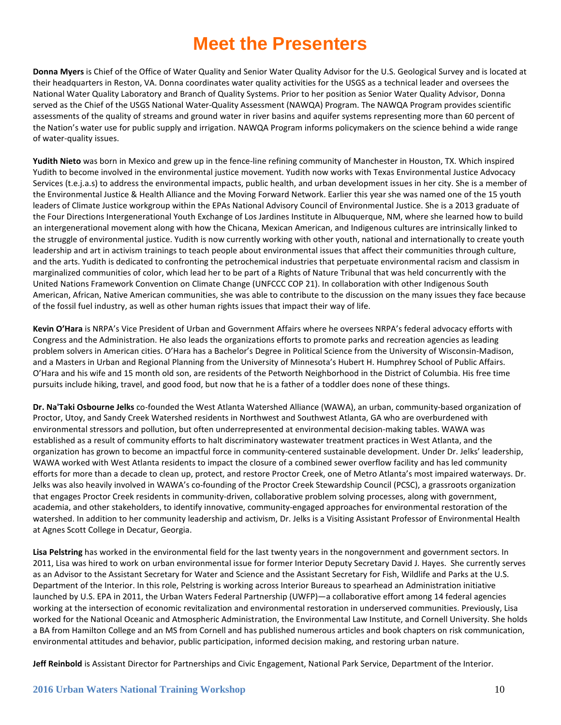**Donna Myers** is Chief of the Office of Water Quality and Senior Water Quality Advisor for the U.S. Geological Survey and is located at their headquarters in Reston, VA. Donna coordinates water quality activities for the USGS as a technical leader and oversees the National Water Quality Laboratory and Branch of Quality Systems. Prior to her position as Senior Water Quality Advisor, Donna served as the Chief of the USGS National Water-Quality Assessment (NAWQA) Program. The NAWQA Program provides scientific assessments of the quality of streams and ground water in river basins and aquifer systems representing more than 60 percent of the Nation's water use for public supply and irrigation. NAWQA Program informs policymakers on the science behind a wide range of water-quality issues.

**Yudith Nieto** was born in Mexico and grew up in the fence-line refining community of Manchester in Houston, TX. Which inspired Yudith to become involved in the environmental justice movement. Yudith now works with Texas Environmental Justice Advocacy Services (t.e.j.a.s) to address the environmental impacts, public health, and urban development issues in her city. She is a member of the Environmental Justice & Health Alliance and the Moving Forward Network. Earlier this year she was named one of the 15 youth leaders of Climate Justice workgroup within the EPAs National Advisory Council of Environmental Justice. She is a 2013 graduate of the Four Directions Intergenerational Youth Exchange of Los Jardines Institute in Albuquerque, NM, where she learned how to build an intergenerational movement along with how the Chicana, Mexican American, and Indigenous cultures are intrinsically linked to the struggle of environmental justice. Yudith is now currently working with other youth, national and internationally to create youth leadership and art in activism trainings to teach people about environmental issues that affect their communities through culture, and the arts. Yudith is dedicated to confronting the petrochemical industries that perpetuate environmental racism and classism in marginalized communities of color, which lead her to be part of a Rights of Nature Tribunal that was held concurrently with the United Nations Framework Convention on Climate Change (UNFCCC COP 21). In collaboration with other Indigenous South American, African, Native American communities, she was able to contribute to the discussion on the many issues they face because of the fossil fuel industry, as well as other human rights issues that impact their way of life.

**Kevin O'Hara** is NRPA's Vice President of Urban and Government Affairs where he oversees NRPA's federal advocacy efforts with Congress and the Administration. He also leads the organizations efforts to promote parks and recreation agencies as leading problem solvers in American cities. O'Hara has a Bachelor's Degree in Political Science from the University of Wisconsin-Madison, and a Masters in Urban and Regional Planning from the University of Minnesota's Hubert H. Humphrey School of Public Affairs. O'Hara and his wife and 15 month old son, are residents of the Petworth Neighborhood in the District of Columbia. His free time pursuits include hiking, travel, and good food, but now that he is a father of a toddler does none of these things.

**Dr. Na'Taki Osbourne Jelks** co-founded the West Atlanta Watershed Alliance (WAWA), an urban, community-based organization of Proctor, Utoy, and Sandy Creek Watershed residents in Northwest and Southwest Atlanta, GA who are overburdened with environmental stressors and pollution, but often underrepresented at environmental decision-making tables. WAWA was established as a result of community efforts to halt discriminatory wastewater treatment practices in West Atlanta, and the organization has grown to become an impactful force in community-centered sustainable development. Under Dr. Jelks' leadership, WAWA worked with West Atlanta residents to impact the closure of a combined sewer overflow facility and has led community efforts for more than a decade to clean up, protect, and restore Proctor Creek, one of Metro Atlanta's most impaired waterways. Dr. Jelks was also heavily involved in WAWA's co-founding of the Proctor Creek Stewardship Council (PCSC), a grassroots organization that engages Proctor Creek residents in community-driven, collaborative problem solving processes, along with government, academia, and other stakeholders, to identify innovative, community-engaged approaches for environmental restoration of the watershed. In addition to her community leadership and activism, Dr. Jelks is a Visiting Assistant Professor of Environmental Health at Agnes Scott College in Decatur, Georgia.

**Lisa Pelstring** has worked in the environmental field for the last twenty years in the nongovernment and government sectors. In 2011, Lisa was hired to work on urban environmental issue for former Interior Deputy Secretary David J. Hayes. She currently serves as an Advisor to the Assistant Secretary for Water and Science and the Assistant Secretary for Fish, Wildlife and Parks at the U.S. Department of the Interior. In this role, Pelstring is working across Interior Bureaus to spearhead an Administration initiative launched by U.S. EPA in 2011, the Urban Waters Federal Partnership (UWFP)—a collaborative effort among 14 federal agencies working at the intersection of economic revitalization and environmental restoration in underserved communities. Previously, Lisa worked for the National Oceanic and Atmospheric Administration, the Environmental Law Institute, and Cornell University. She holds a BA from Hamilton College and an MS from Cornell and has published numerous articles and book chapters on risk communication, environmental attitudes and behavior, public participation, informed decision making, and restoring urban nature.

**Jeff Reinbold** is Assistant Director for Partnerships and Civic Engagement, National Park Service, Department of the Interior.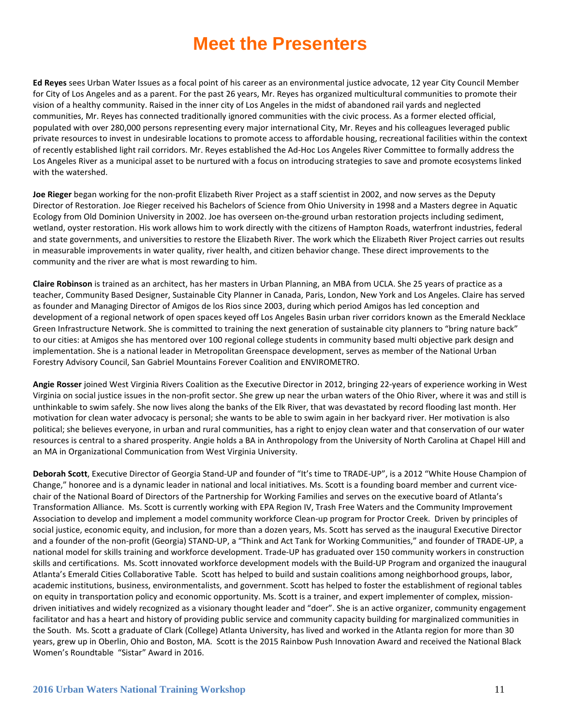**Ed Reyes** sees Urban Water Issues as a focal point of his career as an environmental justice advocate, 12 year City Council Member for City of Los Angeles and as a parent. For the past 26 years, Mr. Reyes has organized multicultural communities to promote their vision of a healthy community. Raised in the inner city of Los Angeles in the midst of abandoned rail yards and neglected communities, Mr. Reyes has connected traditionally ignored communities with the civic process. As a former elected official, populated with over 280,000 persons representing every major international City, Mr. Reyes and his colleagues leveraged public private resources to invest in undesirable locations to promote access to affordable housing, recreational facilities within the context of recently established light rail corridors. Mr. Reyes established the Ad-Hoc Los Angeles River Committee to formally address the Los Angeles River as a municipal asset to be nurtured with a focus on introducing strategies to save and promote ecosystems linked with the watershed.

**Joe Rieger** began working for the non-profit Elizabeth River Project as a staff scientist in 2002, and now serves as the Deputy Director of Restoration. Joe Rieger received his Bachelors of Science from Ohio University in 1998 and a Masters degree in Aquatic Ecology from Old Dominion University in 2002. Joe has overseen on-the-ground urban restoration projects including sediment, wetland, oyster restoration. His work allows him to work directly with the citizens of Hampton Roads, waterfront industries, federal and state governments, and universities to restore the Elizabeth River. The work which the Elizabeth River Project carries out results in measurable improvements in water quality, river health, and citizen behavior change. These direct improvements to the community and the river are what is most rewarding to him.

**Claire Robinson** is trained as an architect, has her masters in Urban Planning, an MBA from UCLA. She 25 years of practice as a teacher, Community Based Designer, Sustainable City Planner in Canada, Paris, London, New York and Los Angeles. Claire has served as founder and Managing Director of Amigos de los Rios since 2003, during which period Amigos has led conception and development of a regional network of open spaces keyed off Los Angeles Basin urban river corridors known as the Emerald Necklace Green Infrastructure Network. She is committed to training the next generation of sustainable city planners to "bring nature back" to our cities: at Amigos she has mentored over 100 regional college students in community based multi objective park design and implementation. She is a national leader in Metropolitan Greenspace development, serves as member of the National Urban Forestry Advisory Council, San Gabriel Mountains Forever Coalition and ENVIROMETRO.

**Angie Rosser** joined West Virginia Rivers Coalition as the Executive Director in 2012, bringing 22-years of experience working in West Virginia on social justice issues in the non-profit sector. She grew up near the urban waters of the Ohio River, where it was and still is unthinkable to swim safely. She now lives along the banks of the Elk River, that was devastated by record flooding last month. Her motivation for clean water advocacy is personal; she wants to be able to swim again in her backyard river. Her motivation is also political; she believes everyone, in urban and rural communities, has a right to enjoy clean water and that conservation of our water resources is central to a shared prosperity. Angie holds a BA in Anthropology from the University of North Carolina at Chapel Hill and an MA in Organizational Communication from West Virginia University.

**Deborah Scott**, Executive Director of Georgia Stand-UP and founder of "It's time to TRADE-UP", is a 2012 "White House Champion of Change," honoree and is a dynamic leader in national and local initiatives. Ms. Scott is a founding board member and current vicechair of the National Board of Directors of the Partnership for Working Families and serves on the executive board of Atlanta's Transformation Alliance. Ms. Scott is currently working with EPA Region IV, Trash Free Waters and the Community Improvement Association to develop and implement a model community workforce Clean-up program for Proctor Creek. Driven by principles of social justice, economic equity, and inclusion, for more than a dozen years, Ms. Scott has served as the inaugural Executive Director and a founder of the non-profit (Georgia) STAND-UP, a "Think and Act Tank for Working Communities," and founder of TRADE-UP, a national model for skills training and workforce development. Trade-UP has graduated over 150 community workers in construction skills and certifications. Ms. Scott innovated workforce development models with the Build-UP Program and organized the inaugural Atlanta's Emerald Cities Collaborative Table. Scott has helped to build and sustain coalitions among neighborhood groups, labor, academic institutions, business, environmentalists, and government. Scott has helped to foster the establishment of regional tables on equity in transportation policy and economic opportunity. Ms. Scott is a trainer, and expert implementer of complex, missiondriven initiatives and widely recognized as a visionary thought leader and "doer". She is an active organizer, community engagement facilitator and has a heart and history of providing public service and community capacity building for marginalized communities in the South. Ms. Scott a graduate of Clark (College) Atlanta University, has lived and worked in the Atlanta region for more than 30 years, grew up in Oberlin, Ohio and Boston, MA. Scott is the 2015 Rainbow Push Innovation Award and received the National Black Women's Roundtable "Sistar" Award in 2016.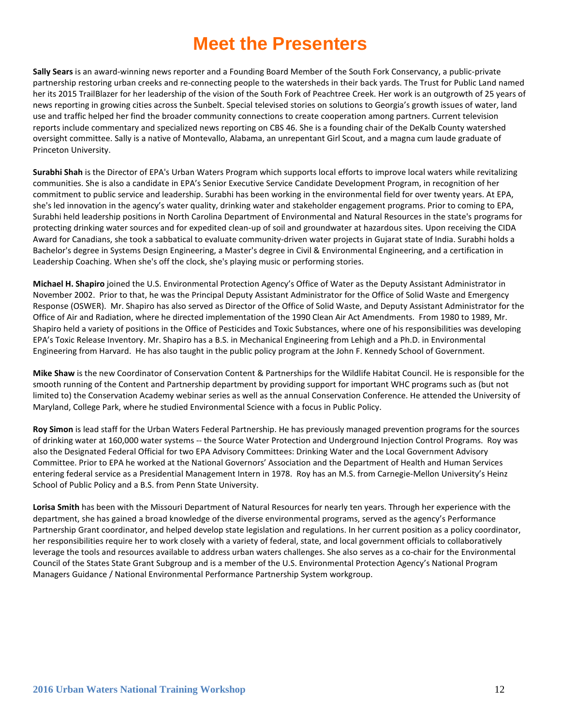**Sally Sears** is an award-winning news reporter and a Founding Board Member of the South Fork Conservancy, a public-private partnership restoring urban creeks and re-connecting people to the watersheds in their back yards. The Trust for Public Land named her its 2015 TrailBlazer for her leadership of the vision of the South Fork of Peachtree Creek. Her work is an outgrowth of 25 years of news reporting in growing cities across the Sunbelt. Special televised stories on solutions to Georgia's growth issues of water, land use and traffic helped her find the broader community connections to create cooperation among partners. Current television reports include commentary and specialized news reporting on CBS 46. She is a founding chair of the DeKalb County watershed oversight committee. Sally is a native of Montevallo, Alabama, an unrepentant Girl Scout, and a magna cum laude graduate of Princeton University.

**Surabhi Shah** is the Director of EPA's Urban Waters Program which supports local efforts to improve local waters while revitalizing communities. She is also a candidate in EPA's Senior Executive Service Candidate Development Program, in recognition of her commitment to public service and leadership. Surabhi has been working in the environmental field for over twenty years. At EPA, she's led innovation in the agency's water quality, drinking water and stakeholder engagement programs. Prior to coming to EPA, Surabhi held leadership positions in North Carolina Department of Environmental and Natural Resources in the state's programs for protecting drinking water sources and for expedited clean-up of soil and groundwater at hazardous sites. Upon receiving the CIDA Award for Canadians, she took a sabbatical to evaluate community-driven water projects in Gujarat state of India. Surabhi holds a Bachelor's degree in Systems Design Engineering, a Master's degree in Civil & Environmental Engineering, and a certification in Leadership Coaching. When she's off the clock, she's playing music or performing stories.

**Michael H. Shapiro** joined the U.S. Environmental Protection Agency's Office of Water as the Deputy Assistant Administrator in November 2002. Prior to that, he was the Principal Deputy Assistant Administrator for the Office of Solid Waste and Emergency Response (OSWER). Mr. Shapiro has also served as Director of the Office of Solid Waste, and Deputy Assistant Administrator for the Office of Air and Radiation, where he directed implementation of the 1990 Clean Air Act Amendments. From 1980 to 1989, Mr. Shapiro held a variety of positions in the Office of Pesticides and Toxic Substances, where one of his responsibilities was developing EPA's Toxic Release Inventory. Mr. Shapiro has a B.S. in Mechanical Engineering from Lehigh and a Ph.D. in Environmental Engineering from Harvard. He has also taught in the public policy program at the John F. Kennedy School of Government.

**Mike Shaw** is the new Coordinator of Conservation Content & Partnerships for the Wildlife Habitat Council. He is responsible for the smooth running of the Content and Partnership department by providing support for important WHC programs such as (but not limited to) the Conservation Academy webinar series as well as the annual Conservation Conference. He attended the University of Maryland, College Park, where he studied Environmental Science with a focus in Public Policy.

**Roy Simon** is lead staff for the Urban Waters Federal Partnership. He has previously managed prevention programs for the sources of drinking water at 160,000 water systems -- the Source Water Protection and Underground Injection Control Programs. Roy was also the Designated Federal Official for two EPA Advisory Committees: Drinking Water and the Local Government Advisory Committee. Prior to EPA he worked at the National Governors' Association and the Department of Health and Human Services entering federal service as a Presidential Management Intern in 1978. Roy has an M.S. from Carnegie-Mellon University's Heinz School of Public Policy and a B.S. from Penn State University.

**Lorisa Smith** has been with the Missouri Department of Natural Resources for nearly ten years. Through her experience with the department, she has gained a broad knowledge of the diverse environmental programs, served as the agency's Performance Partnership Grant coordinator, and helped develop state legislation and regulations. In her current position as a policy coordinator, her responsibilities require her to work closely with a variety of federal, state, and local government officials to collaboratively leverage the tools and resources available to address urban waters challenges. She also serves as a co-chair for the Environmental Council of the States State Grant Subgroup and is a member of the U.S. Environmental Protection Agency's National Program Managers Guidance / National Environmental Performance Partnership System workgroup.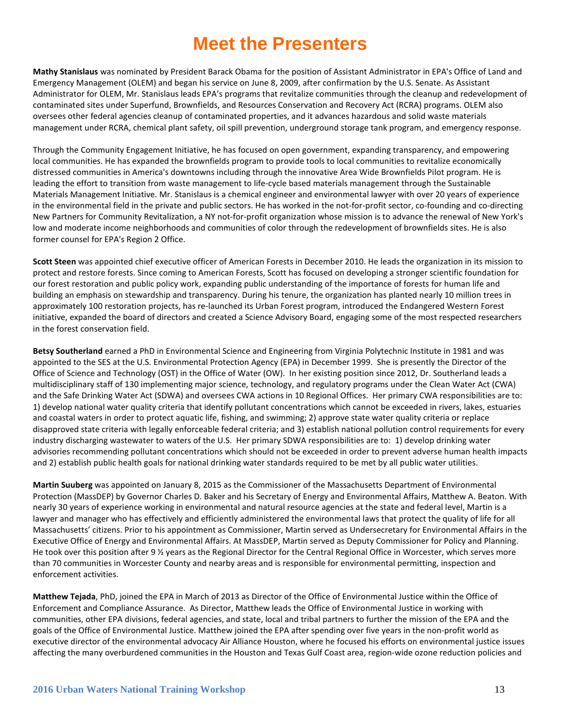**Mathy Stanislaus** was nominated by President Barack Obama for the position of Assistant Administrator in EPA's Office of Land and Emergency Management (OLEM) and began his service on June 8, 2009, after confirmation by the U.S. Senate. As Assistant Administrator for OLEM, Mr. Stanislaus leads EPA's programs that revitalize communities through the cleanup and redevelopment of contaminated sites under Superfund, Brownfields, and Resources Conservation and Recovery Act (RCRA) programs. OLEM also oversees other federal agencies cleanup of contaminated properties, and it advances hazardous and solid waste materials management under RCRA, chemical plant safety, oil spill prevention, underground storage tank program, and emergency response.

Through the Community Engagement Initiative, he has focused on open government, expanding transparency, and empowering local communities. He has expanded the brownfields program to provide tools to local communities to revitalize economically distressed communities in America's downtowns including through the innovative Area Wide Brownfields Pilot program. He is leading the effort to transition from waste management to life-cycle based materials management through the Sustainable Materials Management Initiative. Mr. Stanislaus is a chemical engineer and environmental lawyer with over 20 years of experience in the environmental field in the private and public sectors. He has worked in the not-for-profit sector, co-founding and co-directing New Partners for Community Revitalization, a NY not-for-profit organization whose mission is to advance the renewal of New York's low and moderate income neighborhoods and communities of color through the redevelopment of brownfields sites. He is also former counsel for EPA's Region 2 Office.

**Scott Steen** was appointed chief executive officer of American Forests in December 2010. He leads the organization in its mission to protect and restore forests. Since coming to American Forests, Scott has focused on developing a stronger scientific foundation for our forest restoration and public policy work, expanding public understanding of the importance of forests for human life and building an emphasis on stewardship and transparency. During his tenure, the organization has planted nearly 10 million trees in approximately 100 restoration projects, has re-launched its Urban Forest program, introduced the Endangered Western Forest initiative, expanded the board of directors and created a Science Advisory Board, engaging some of the most respected researchers in the forest conservation field.

**Betsy Southerland** earned a PhD in Environmental Science and Engineering from Virginia Polytechnic Institute in 1981 and was appointed to the SES at the U.S. Environmental Protection Agency (EPA) in December 1999. She is presently the Director of the Office of Science and Technology (OST) in the Office of Water (OW). In her existing position since 2012, Dr. Southerland leads a multidisciplinary staff of 130 implementing major science, technology, and regulatory programs under the Clean Water Act (CWA) and the Safe Drinking Water Act (SDWA) and oversees CWA actions in 10 Regional Offices. Her primary CWA responsibilities are to: 1) develop national water quality criteria that identify pollutant concentrations which cannot be exceeded in rivers, lakes, estuaries and coastal waters in order to protect aquatic life, fishing, and swimming; 2) approve state water quality criteria or replace disapproved state criteria with legally enforceable federal criteria; and 3) establish national pollution control requirements for every industry discharging wastewater to waters of the U.S. Her primary SDWA responsibilities are to: 1) develop drinking water advisories recommending pollutant concentrations which should not be exceeded in order to prevent adverse human health impacts and 2) establish public health goals for national drinking water standards required to be met by all public water utilities.

**Martin Suuberg** was appointed on January 8, 2015 as the Commissioner of the Massachusetts Department of Environmental Protection (MassDEP) by Governor Charles D. Baker and his Secretary of Energy and Environmental Affairs, Matthew A. Beaton. With nearly 30 years of experience working in environmental and natural resource agencies at the state and federal level, Martin is a lawyer and manager who has effectively and efficiently administered the environmental laws that protect the quality of life for all Massachusetts' citizens. Prior to his appointment as Commissioner, Martin served as Undersecretary for Environmental Affairs in the Executive Office of Energy and Environmental Affairs. At MassDEP, Martin served as Deputy Commissioner for Policy and Planning. He took over this position after 9 ½ years as the Regional Director for the Central Regional Office in Worcester, which serves more than 70 communities in Worcester County and nearby areas and is responsible for environmental permitting, inspection and enforcement activities.

**Matthew Tejada**, PhD, joined the EPA in March of 2013 as Director of the Office of Environmental Justice within the Office of Enforcement and Compliance Assurance. As Director, Matthew leads the Office of Environmental Justice in working with communities, other EPA divisions, federal agencies, and state, local and tribal partners to further the mission of the EPA and the goals of the Office of Environmental Justice. Matthew joined the EPA after spending over five years in the non-profit world as executive director of the environmental advocacy Air Alliance Houston, where he focused his efforts on environmental justice issues affecting the many overburdened communities in the Houston and Texas Gulf Coast area, region-wide ozone reduction policies and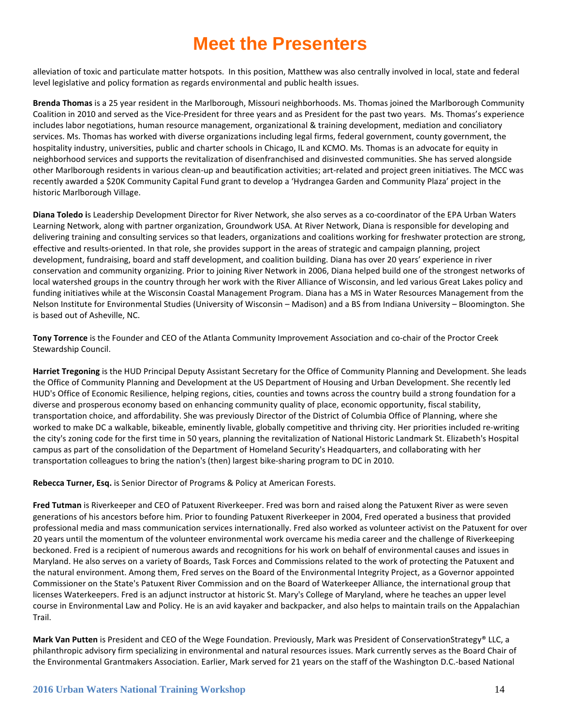alleviation of toxic and particulate matter hotspots. In this position, Matthew was also centrally involved in local, state and federal level legislative and policy formation as regards environmental and public health issues.

**Brenda Thomas** is a 25 year resident in the Marlborough, Missouri neighborhoods. Ms. Thomas joined the Marlborough Community Coalition in 2010 and served as the Vice-President for three years and as President for the past two years. Ms. Thomas's experience includes labor negotiations, human resource management, organizational & training development, mediation and conciliatory services. Ms. Thomas has worked with diverse organizations including legal firms, federal government, county government, the hospitality industry, universities, public and charter schools in Chicago, IL and KCMO. Ms. Thomas is an advocate for equity in neighborhood services and supports the revitalization of disenfranchised and disinvested communities. She has served alongside other Marlborough residents in various clean-up and beautification activities; art-related and project green initiatives. The MCC was recently awarded a \$20K Community Capital Fund grant to develop a 'Hydrangea Garden and Community Plaza' project in the historic Marlborough Village.

**Diana Toledo i**s Leadership Development Director for River Network, she also serves as a co-coordinator of the EPA Urban Waters Learning Network, along with partner organization, Groundwork USA. At River Network, Diana is responsible for developing and delivering training and consulting services so that leaders, organizations and coalitions working for freshwater protection are strong, effective and results-oriented. In that role, she provides support in the areas of strategic and campaign planning, project development, fundraising, board and staff development, and coalition building. Diana has over 20 years' experience in river conservation and community organizing. Prior to joining River Network in 2006, Diana helped build one of the strongest networks of local watershed groups in the country through her work with the River Alliance of Wisconsin, and led various Great Lakes policy and funding initiatives while at the Wisconsin Coastal Management Program. Diana has a MS in Water Resources Management from the Nelson Institute for Environmental Studies (University of Wisconsin – Madison) and a BS from Indiana University – Bloomington. She is based out of Asheville, NC.

**Tony Torrence** is the Founder and CEO of the Atlanta Community Improvement Association and co-chair of the Proctor Creek Stewardship Council.

**Harriet Tregoning** is the HUD Principal Deputy Assistant Secretary for the Office of Community Planning and Development. She leads the Office of Community Planning and Development at the US Department of Housing and Urban Development. She recently led HUD's Office of Economic Resilience, helping regions, cities, counties and towns across the country build a strong foundation for a diverse and prosperous economy based on enhancing community quality of place, economic opportunity, fiscal stability, transportation choice, and affordability. She was previously Director of the District of Columbia Office of Planning, where she worked to make DC a walkable, bikeable, eminently livable, globally competitive and thriving city. Her priorities included re-writing the city's zoning code for the first time in 50 years, planning the revitalization of National Historic Landmark St. Elizabeth's Hospital campus as part of the consolidation of the Department of Homeland Security's Headquarters, and collaborating with her transportation colleagues to bring the nation's (then) largest bike-sharing program to DC in 2010.

**Rebecca Turner, Esq.** is Senior Director of Programs & Policy at American Forests.

**Fred Tutman** is Riverkeeper and CEO of Patuxent Riverkeeper. Fred was born and raised along the Patuxent River as were seven generations of his ancestors before him. Prior to founding Patuxent Riverkeeper in 2004, Fred operated a business that provided professional media and mass communication services internationally. Fred also worked as volunteer activist on the Patuxent for over 20 years until the momentum of the volunteer environmental work overcame his media career and the challenge of Riverkeeping beckoned. Fred is a recipient of numerous awards and recognitions for his work on behalf of environmental causes and issues in Maryland. He also serves on a variety of Boards, Task Forces and Commissions related to the work of protecting the Patuxent and the natural environment. Among them, Fred serves on the Board of the Environmental Integrity Project, as a Governor appointed Commissioner on the State's Patuxent River Commission and on the Board of Waterkeeper Alliance, the international group that licenses Waterkeepers. Fred is an adjunct instructor at historic St. Mary's College of Maryland, where he teaches an upper level course in Environmental Law and Policy. He is an avid kayaker and backpacker, and also helps to maintain trails on the Appalachian Trail.

**Mark Van Putten** is President and CEO of the Wege Foundation. Previously, Mark was President of ConservationStrategy® LLC, a philanthropic advisory firm specializing in environmental and natural resources issues. Mark currently serves as the Board Chair of the Environmental Grantmakers Association. Earlier, Mark served for 21 years on the staff of the Washington D.C.-based National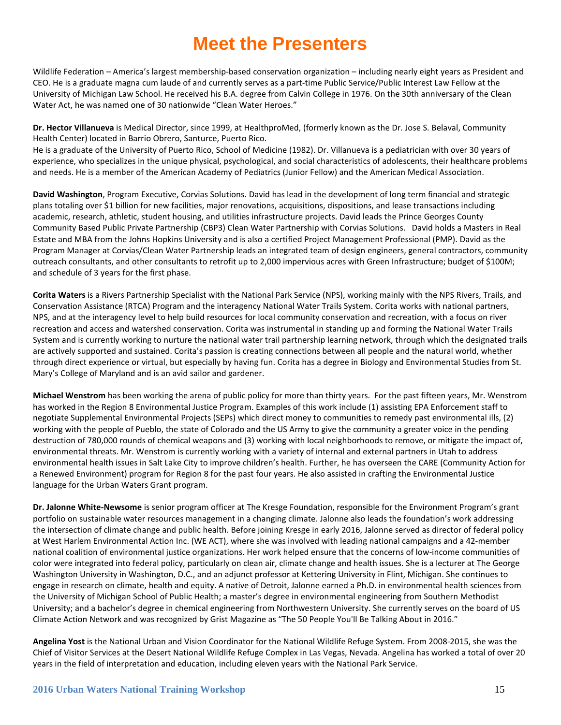Wildlife Federation – America's largest membership-based conservation organization – including nearly eight years as President and CEO. He is a graduate magna cum laude of and currently serves as a part-time Public Service/Public Interest Law Fellow at the University of Michigan Law School. He received his B.A. degree from Calvin College in 1976. On the 30th anniversary of the Clean Water Act, he was named one of 30 nationwide "Clean Water Heroes."

**Dr. Hector Villanueva** is Medical Director, since 1999, at HealthproMed, (formerly known as the Dr. Jose S. Belaval, Community Health Center) located in Barrio Obrero, Santurce, Puerto Rico.

He is a graduate of the University of Puerto Rico, School of Medicine (1982). Dr. Villanueva is a pediatrician with over 30 years of experience, who specializes in the unique physical, psychological, and social characteristics of adolescents, their healthcare problems and needs. He is a member of the American Academy of Pediatrics (Junior Fellow) and the American Medical Association.

**David Washington**, Program Executive, Corvias Solutions. David has lead in the development of long term financial and strategic plans totaling over \$1 billion for new facilities, major renovations, acquisitions, dispositions, and lease transactions including academic, research, athletic, student housing, and utilities infrastructure projects. David leads the Prince Georges County Community Based Public Private Partnership (CBP3) Clean Water Partnership with Corvias Solutions. David holds a Masters in Real Estate and MBA from the Johns Hopkins University and is also a certified Project Management Professional (PMP). David as the Program Manager at Corvias/Clean Water Partnership leads an integrated team of design engineers, general contractors, community outreach consultants, and other consultants to retrofit up to 2,000 impervious acres with Green Infrastructure; budget of \$100M; and schedule of 3 years for the first phase.

**Corita Waters** is a Rivers Partnership Specialist with the National Park Service (NPS), working mainly with the NPS Rivers, Trails, and Conservation Assistance (RTCA) Program and the interagency National Water Trails System. Corita works with national partners, NPS, and at the interagency level to help build resources for local community conservation and recreation, with a focus on river recreation and access and watershed conservation. Corita was instrumental in standing up and forming the National Water Trails System and is currently working to nurture the national water trail partnership learning network, through which the designated trails are actively supported and sustained. Corita's passion is creating connections between all people and the natural world, whether through direct experience or virtual, but especially by having fun. Corita has a degree in Biology and Environmental Studies from St. Mary's College of Maryland and is an avid sailor and gardener.

**Michael Wenstrom** has been working the arena of public policy for more than thirty years. For the past fifteen years, Mr. Wenstrom has worked in the Region 8 Environmental Justice Program. Examples of this work include (1) assisting EPA Enforcement staff to negotiate Supplemental Environmental Projects (SEPs) which direct money to communities to remedy past environmental ills, (2) working with the people of Pueblo, the state of Colorado and the US Army to give the community a greater voice in the pending destruction of 780,000 rounds of chemical weapons and (3) working with local neighborhoods to remove, or mitigate the impact of, environmental threats. Mr. Wenstrom is currently working with a variety of internal and external partners in Utah to address environmental health issues in Salt Lake City to improve children's health. Further, he has overseen the CARE (Community Action for a Renewed Environment) program for Region 8 for the past four years. He also assisted in crafting the Environmental Justice language for the Urban Waters Grant program.

**Dr. Jalonne White-Newsome** is senior program officer at The Kresge Foundation, responsible for the Environment Program's grant portfolio on sustainable water resources management in a changing climate. Jalonne also leads the foundation's work addressing the intersection of climate change and public health. Before joining Kresge in early 2016, Jalonne served as director of federal policy at West Harlem Environmental Action Inc. (WE ACT), where she was involved with leading national campaigns and a 42-member national coalition of environmental justice organizations. Her work helped ensure that the concerns of low-income communities of color were integrated into federal policy, particularly on clean air, climate change and health issues. She is a lecturer at The George Washington University in Washington, D.C., and an adjunct professor at Kettering University in Flint, Michigan. She continues to engage in research on climate, health and equity. A native of Detroit, Jalonne earned a Ph.D. in environmental health sciences from the University of Michigan School of Public Health; a master's degree in environmental engineering from Southern Methodist University; and a bachelor's degree in chemical engineering from Northwestern University. She currently serves on the board of US Climate Action Network and was recognized by Grist Magazine as "The 50 People You'll Be Talking About in 2016."

**Angelina Yost** is the National Urban and Vision Coordinator for the National Wildlife Refuge System. From 2008-2015, she was the Chief of Visitor Services at the Desert National Wildlife Refuge Complex in Las Vegas, Nevada. Angelina has worked a total of over 20 years in the field of interpretation and education, including eleven years with the National Park Service.